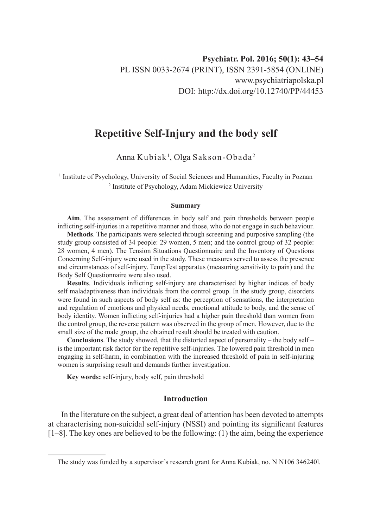# **Repetitive Self-Injury and the body self**

Anna Kubiak<sup>1</sup>, Olga Sakson-Obada<sup>2</sup>

<sup>1</sup> Institute of Psychology, University of Social Sciences and Humanities, Faculty in Poznan <sup>2</sup> Institute of Psychology, Adam Mickiewicz University

#### **Summary**

**Aim**. The assessment of differences in body self and pain thresholds between people inflicting self-injuries in a repetitive manner and those, who do not engage in such behaviour.

**Methods**. The participants were selected through screening and purposive sampling (the study group consisted of 34 people: 29 women, 5 men; and the control group of 32 people: 28 women, 4 men). The Tension Situations Questionnaire and the Inventory of Questions Concerning Self-injury were used in the study. These measures served to assess the presence and circumstances of self-injury. TempTest apparatus (measuring sensitivity to pain) and the Body Self Questionnaire were also used.

**Results**. Individuals inflicting self-injury are characterised by higher indices of body self maladaptiveness than individuals from the control group. In the study group, disorders were found in such aspects of body self as: the perception of sensations, the interpretation and regulation of emotions and physical needs, emotional attitude to body, and the sense of body identity. Women inflicting self-injuries had a higher pain threshold than women from the control group, the reverse pattern was observed in the group of men. However, due to the small size of the male group, the obtained result should be treated with caution.

**Conclusions**. The study showed, that the distorted aspect of personality – the body self – is the important risk factor for the repetitive self-injuries. The lowered pain threshold in men engaging in self-harm, in combination with the increased threshold of pain in self-injuring women is surprising result and demands further investigation.

**Key words:** self-injury, body self, pain threshold

# **Introduction**

In the literature on the subject, a great deal of attention has been devoted to attempts at characterising non-suicidal self-injury (NSSI) and pointing its significant features  $[1-8]$ . The key ones are believed to be the following: (1) the aim, being the experience

The study was funded by a supervisor's research grant for Anna Kubiak, no. N N106 346240l.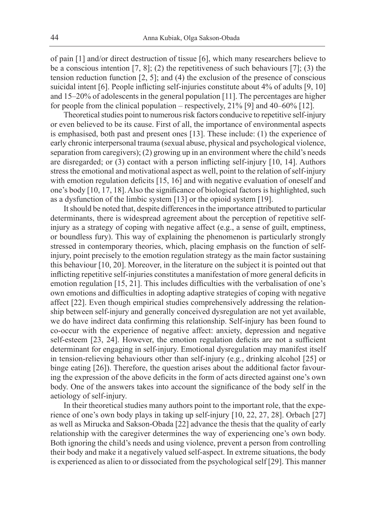of pain [1] and/or direct destruction of tissue [6], which many researchers believe to be a conscious intention [7, 8]; (2) the repetitiveness of such behaviours [7]; (3) the tension reduction function  $[2, 5]$ ; and  $(4)$  the exclusion of the presence of conscious suicidal intent [6]. People inflicting self-injuries constitute about 4% of adults [9, 10] and 15–20% of adolescents in the general population [11]. The percentages are higher for people from the clinical population – respectively,  $21\%$  [9] and 40–60% [12].

Theoretical studies point to numerous risk factors conducive to repetitive self-injury or even believed to be its cause. First of all, the importance of environmental aspects is emphasised, both past and present ones [13]. These include: (1) the experience of early chronic interpersonal trauma (sexual abuse, physical and psychological violence, separation from caregivers); (2) growing up in an environment where the child's needs are disregarded; or (3) contact with a person inflicting self-injury [10, 14]. Authors stress the emotional and motivational aspect as well, point to the relation of self-injury with emotion regulation deficits [15, 16] and with negative evaluation of oneself and one's body [10, 17, 18]. Also the significance of biological factors is highlighted, such as a dysfunction of the limbic system [13] or the opioid system [19].

It should be noted that, despite differences in the importance attributed to particular determinants, there is widespread agreement about the perception of repetitive selfinjury as a strategy of coping with negative affect (e.g., a sense of guilt, emptiness, or boundless fury). This way of explaining the phenomenon is particularly strongly stressed in contemporary theories, which, placing emphasis on the function of selfinjury, point precisely to the emotion regulation strategy as the main factor sustaining this behaviour [10, 20]. Moreover, in the literature on the subject it is pointed out that inflicting repetitive self-injuries constitutes a manifestation of more general deficits in emotion regulation [15, 21]. This includes difficulties with the verbalisation of one's own emotions and difficulties in adopting adaptive strategies of coping with negative affect [22]. Even though empirical studies comprehensively addressing the relationship between self-injury and generally conceived dysregulation are not yet available, we do have indirect data confirming this relationship. Self-injury has been found to co-occur with the experience of negative affect: anxiety, depression and negative self-esteem [23, 24]. However, the emotion regulation deficits are not a sufficient determinant for engaging in self-injury. Emotional dysregulation may manifest itself in tension-relieving behaviours other than self-injury (e.g., drinking alcohol [25] or binge eating [26]). Therefore, the question arises about the additional factor favouring the expression of the above deficits in the form of acts directed against one's own body. One of the answers takes into account the significance of the body self in the aetiology of self-injury.

In their theoretical studies many authors point to the important role, that the experience of one's own body plays in taking up self-injury [10, 22, 27, 28]. Orbach [27] as well as Mirucka and Sakson-Obada [22] advance the thesis that the quality of early relationship with the caregiver determines the way of experiencing one's own body. Both ignoring the child's needs and using violence, prevent a person from controlling their body and make it a negatively valued self-aspect. In extreme situations, the body is experienced as alien to or dissociated from the psychological self [29]. This manner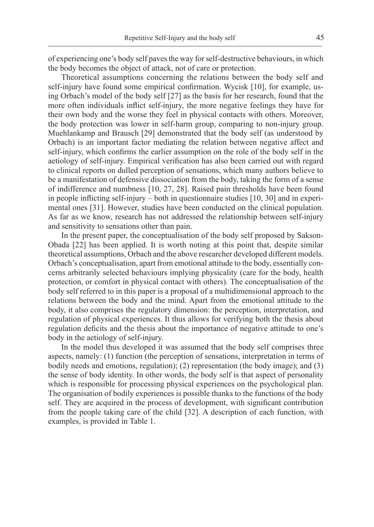of experiencing one's body self paves the way for self-destructive behaviours, in which the body becomes the object of attack, not of care or protection.

Theoretical assumptions concerning the relations between the body self and self-injury have found some empirical confirmation. Wycisk [10], for example, using Orbach's model of the body self [27] as the basis for her research, found that the more often individuals inflict self-injury, the more negative feelings they have for their own body and the worse they feel in physical contacts with others. Moreover, the body protection was lower in self-harm group, comparing to non-injury group. Muehlankamp and Brausch [29] demonstrated that the body self (as understood by Orbach) is an important factor mediating the relation between negative affect and self-injury, which confirms the earlier assumption on the role of the body self in the aetiology of self-injury. Empirical verification has also been carried out with regard to clinical reports on dulled perception of sensations, which many authors believe to be a manifestation of defensive dissociation from the body, taking the form of a sense of indifference and numbness [10, 27, 28]. Raised pain thresholds have been found in people inflicting self-injury – both in questionnaire studies [10, 30] and in experimental ones [31]. However, studies have been conducted on the clinical population. As far as we know, research has not addressed the relationship between self-injury and sensitivity to sensations other than pain.

In the present paper, the conceptualisation of the body self proposed by Sakson-Obada [22] has been applied. It is worth noting at this point that, despite similar theoretical assumptions, Orbach and the above researcher developed different models. Orbach's conceptualisation, apart from emotional attitude to the body, essentially concerns arbitrarily selected behaviours implying physicality (care for the body, health protection, or comfort in physical contact with others). The conceptualisation of the body self referred to in this paper is a proposal of a multidimensional approach to the relations between the body and the mind. Apart from the emotional attitude to the body, it also comprises the regulatory dimension: the perception, interpretation, and regulation of physical experiences. It thus allows for verifying both the thesis about regulation deficits and the thesis about the importance of negative attitude to one's body in the aetiology of self-injury.

In the model thus developed it was assumed that the body self comprises three aspects, namely: (1) function (the perception of sensations, interpretation in terms of bodily needs and emotions, regulation); (2) representation (the body image); and (3) the sense of body identity. In other words, the body self is that aspect of personality which is responsible for processing physical experiences on the psychological plan. The organisation of bodily experiences is possible thanks to the functions of the body self. They are acquired in the process of development, with significant contribution from the people taking care of the child [32]. A description of each function, with examples, is provided in Table 1.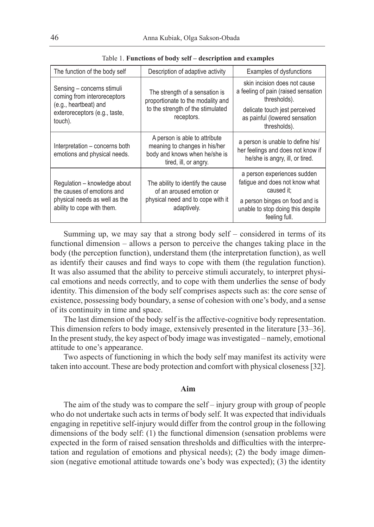| The function of the body self                                                                                                  | Description of adaptive activity                                                                                         | Examples of dysfunctions                                                                                  |  |
|--------------------------------------------------------------------------------------------------------------------------------|--------------------------------------------------------------------------------------------------------------------------|-----------------------------------------------------------------------------------------------------------|--|
| Sensing – concerns stimuli<br>coming from interoreceptors<br>(e.g., heartbeat) and<br>exteroreceptors (e.g., taste,<br>touch). | The strength of a sensation is<br>proportionate to the modality and<br>to the strength of the stimulated<br>receptors.   | skin incision does not cause<br>a feeling of pain (raised sensation<br>thresholds).                       |  |
|                                                                                                                                |                                                                                                                          | delicate touch jest perceived<br>as painful (lowered sensation<br>thresholds).                            |  |
| Interpretation – concerns both<br>emotions and physical needs.                                                                 | A person is able to attribute<br>meaning to changes in his/her<br>body and knows when he/she is<br>tired, ill, or angry. | a person is unable to define his/<br>her feelings and does not know if<br>he/she is angry, ill, or tired. |  |
| Regulation - knowledge about<br>the causes of emotions and<br>physical needs as well as the<br>ability to cope with them.      | The ability to identify the cause<br>of an aroused emotion or<br>physical need and to cope with it<br>adaptively.        | a person experiences sudden<br>fatique and does not know what<br>caused it:                               |  |
|                                                                                                                                |                                                                                                                          | a person binges on food and is<br>unable to stop doing this despite<br>feeling full.                      |  |

Table 1. **Functions of body self – description and examples**

Summing up, we may say that a strong body self – considered in terms of its functional dimension – allows a person to perceive the changes taking place in the body (the perception function), understand them (the interpretation function), as well as identify their causes and find ways to cope with them (the regulation function). It was also assumed that the ability to perceive stimuli accurately, to interpret physical emotions and needs correctly, and to cope with them underlies the sense of body identity. This dimension of the body self comprises aspects such as: the core sense of existence, possessing body boundary, a sense of cohesion with one's body, and a sense of its continuity in time and space.

The last dimension of the body self is the affective-cognitive body representation. This dimension refers to body image, extensively presented in the literature [33–36]. In the present study, the key aspect of body image was investigated – namely, emotional attitude to one's appearance.

Two aspects of functioning in which the body self may manifest its activity were taken into account. These are body protection and comfort with physical closeness [32].

### **Aim**

The aim of the study was to compare the self – injury group with group of people who do not undertake such acts in terms of body self. It was expected that individuals engaging in repetitive self-injury would differ from the control group in the following dimensions of the body self: (1) the functional dimension (sensation problems were expected in the form of raised sensation thresholds and difficulties with the interpretation and regulation of emotions and physical needs); (2) the body image dimension (negative emotional attitude towards one's body was expected); (3) the identity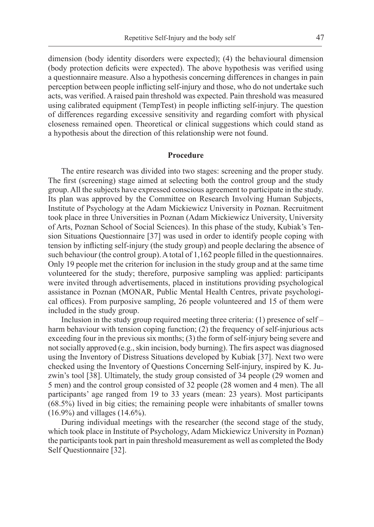dimension (body identity disorders were expected); (4) the behavioural dimension (body protection deficits were expected). The above hypothesis was verified using a questionnaire measure. Also a hypothesis concerning differences in changes in pain perception between people inflicting self-injury and those, who do not undertake such acts, was verified. A raised pain threshold was expected. Pain threshold was measured using calibrated equipment (TempTest) in people inflicting self-injury. The question of differences regarding excessive sensitivity and regarding comfort with physical closeness remained open. Theoretical or clinical suggestions which could stand as a hypothesis about the direction of this relationship were not found.

# **Procedure**

The entire research was divided into two stages: screening and the proper study. The first (screening) stage aimed at selecting both the control group and the study group. All the subjects have expressed conscious agreement to participate in the study. Its plan was approved by the Committee on Research Involving Human Subjects, Institute of Psychology at the Adam Mickiewicz University in Poznan. Recruitment took place in three Universities in Poznan (Adam Mickiewicz University, University of Arts, Poznan School of Social Sciences). In this phase of the study, Kubiak's Tension Situations Questionnaire [37] was used in order to identify people coping with tension by inflicting self-injury (the study group) and people declaring the absence of such behaviour (the control group). A total of 1,162 people filled in the questionnaires. Only 19 people met the criterion for inclusion in the study group and at the same time volunteered for the study; therefore, purposive sampling was applied: participants were invited through advertisements, placed in institutions providing psychological assistance in Poznan (MONAR, Public Mental Health Centres, private psychological offices). From purposive sampling, 26 people volunteered and 15 of them were included in the study group.

Inclusion in the study group required meeting three criteria: (1) presence of self – harm behaviour with tension coping function; (2) the frequency of self-injurious acts exceeding four in the previous six months; (3) the form of self-injury being severe and not socially approved (e.g., skin incision, body burning). The firs aspect was diagnosed using the Inventory of Distress Situations developed by Kubiak [37]. Next two were checked using the Inventory of Questions Concerning Self-injury, inspired by K. Juzwin's tool [38]. Ultimately, the study group consisted of 34 people (29 women and 5 men) and the control group consisted of 32 people (28 women and 4 men). The all participants' age ranged from 19 to 33 years (mean: 23 years). Most participants (68.5%) lived in big cities; the remaining people were inhabitants of smaller towns (16.9%) and villages (14.6%).

During individual meetings with the researcher (the second stage of the study, which took place in Institute of Psychology, Adam Mickiewicz University in Poznan) the participants took part in pain threshold measurement as well as completed the Body Self Questionnaire [32].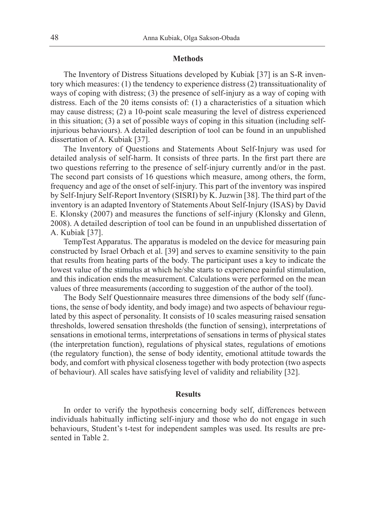### **Methods**

The Inventory of Distress Situations developed by Kubiak [37] is an S-R inventory which measures: (1) the tendency to experience distress (2) transsituationality of ways of coping with distress; (3) the presence of self-injury as a way of coping with distress. Each of the 20 items consists of: (1) a characteristics of a situation which may cause distress; (2) a 10-point scale measuring the level of distress experienced in this situation; (3) a set of possible ways of coping in this situation (including selfinjurious behaviours). A detailed description of tool can be found in an unpublished dissertation of A. Kubiak [37].

The Inventory of Questions and Statements About Self-Injury was used for detailed analysis of self-harm. It consists of three parts. In the first part there are two questions referring to the presence of self-injury currently and/or in the past. The second part consists of 16 questions which measure, among others, the form, frequency and age of the onset of self-injury. This part of the inventory was inspired by Self-Injury Self-Report Inventory (SISRI) by K. Juzwin [38]. The third part of the inventory is an adapted Inventory of Statements About Self-Injury (ISAS) by David E. Klonsky (2007) and measures the functions of self-injury (Klonsky and Glenn, 2008). A detailed description of tool can be found in an unpublished dissertation of A. Kubiak [37].

TempTest Apparatus. The apparatus is modeled on the device for measuring pain constructed by Israel Orbach et al. [39] and serves to examine sensitivity to the pain that results from heating parts of the body. The participant uses a key to indicate the lowest value of the stimulus at which he/she starts to experience painful stimulation, and this indication ends the measurement. Calculations were performed on the mean values of three measurements (according to suggestion of the author of the tool).

The Body Self Questionnaire measures three dimensions of the body self (functions, the sense of body identity, and body image) and two aspects of behaviour regulated by this aspect of personality. It consists of 10 scales measuring raised sensation thresholds, lowered sensation thresholds (the function of sensing), interpretations of sensations in emotional terms, interpretations of sensations in terms of physical states (the interpretation function), regulations of physical states, regulations of emotions (the regulatory function), the sense of body identity, emotional attitude towards the body, and comfort with physical closeness together with body protection (two aspects of behaviour). All scales have satisfying level of validity and reliability [32].

## **Results**

In order to verify the hypothesis concerning body self, differences between individuals habitually inflicting self-injury and those who do not engage in such behaviours, Student's t-test for independent samples was used. Its results are presented in Table 2.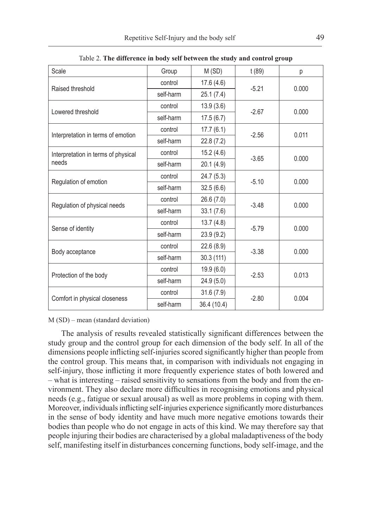| Scale                                        | Group     | M(SD)       | t (89)  | p     |
|----------------------------------------------|-----------|-------------|---------|-------|
| Raised threshold                             | control   | 17.6(4.6)   | $-5.21$ | 0.000 |
|                                              | self-harm | 25.1(7.4)   |         |       |
| Lowered threshold                            | control   | 13.9(3.6)   | $-2.67$ | 0.000 |
|                                              | self-harm | 17.5(6.7)   |         |       |
| Interpretation in terms of emotion           | control   | 17.7(6.1)   | $-2.56$ | 0.011 |
|                                              | self-harm | 22.8(7.2)   |         |       |
| Interpretation in terms of physical<br>needs | control   | 15.2(4.6)   | $-3.65$ | 0.000 |
|                                              | self-harm | 20.1 (4.9)  |         |       |
|                                              | control   | 24.7(5.3)   | $-5.10$ | 0.000 |
| Regulation of emotion                        | self-harm | 32.5(6.6)   |         |       |
| Regulation of physical needs                 | control   | 26.6(7.0)   | $-3.48$ | 0.000 |
|                                              | self-harm | 33.1(7.6)   |         |       |
| Sense of identity                            | control   | 13.7(4.8)   | $-5.79$ | 0.000 |
|                                              | self-harm | 23.9 (9.2)  |         |       |
| Body acceptance                              | control   | 22.6 (8.9)  | $-3.38$ | 0.000 |
|                                              | self-harm | 30.3(111)   |         |       |
| Protection of the body                       | control   | 19.9(6.0)   | $-2.53$ | 0.013 |
|                                              | self-harm | 24.9(5.0)   |         |       |
| Comfort in physical closeness                | control   | 31.6(7.9)   | $-2.80$ | 0.004 |
|                                              | self-harm | 36.4 (10.4) |         |       |

Table 2. **The difference in body self between the study and control group**

M (SD) – mean (standard deviation)

The analysis of results revealed statistically significant differences between the study group and the control group for each dimension of the body self. In all of the dimensions people inflicting self-injuries scored significantly higher than people from the control group. This means that, in comparison with individuals not engaging in self-injury, those inflicting it more frequently experience states of both lowered and – what is interesting – raised sensitivity to sensations from the body and from the environment. They also declare more difficulties in recognising emotions and physical needs (e.g., fatigue or sexual arousal) as well as more problems in coping with them. Moreover, individuals inflicting self-injuries experience significantly more disturbances in the sense of body identity and have much more negative emotions towards their bodies than people who do not engage in acts of this kind. We may therefore say that people injuring their bodies are characterised by a global maladaptiveness of the body self, manifesting itself in disturbances concerning functions, body self-image, and the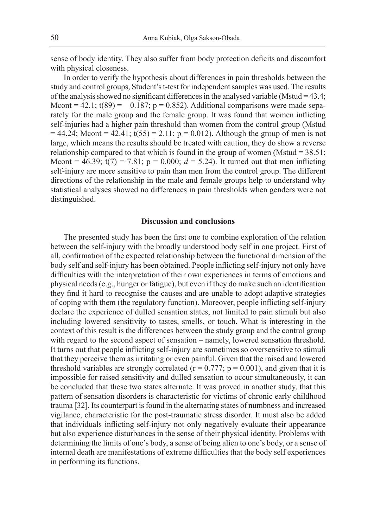sense of body identity. They also suffer from body protection deficits and discomfort with physical closeness.

In order to verify the hypothesis about differences in pain thresholds between the study and control groups, Student's t-test for independent samples was used. The results of the analysis showed no significant differences in the analysed variable (Mstud =  $43.4$ ; Mcont =  $42.1$ ; t(89) =  $-0.187$ ; p = 0.852). Additional comparisons were made separately for the male group and the female group. It was found that women inflicting self-injuries had a higher pain threshold than women from the control group (Mstud  $= 44.24$ ; Mcont =  $42.41$ ; t(55) = 2.11; p = 0.012). Although the group of men is not large, which means the results should be treated with caution, they do show a reverse relationship compared to that which is found in the group of women (Mstud  $= 38.51$ ; Mcont =  $46.39$ ;  $t(7) = 7.81$ ;  $p = 0.000$ ;  $d = 5.24$ ). It turned out that men inflicting self-injury are more sensitive to pain than men from the control group. The different directions of the relationship in the male and female groups help to understand why statistical analyses showed no differences in pain thresholds when genders were not distinguished.

#### **Discussion and conclusions**

The presented study has been the first one to combine exploration of the relation between the self-injury with the broadly understood body self in one project. First of all, confirmation of the expected relationship between the functional dimension of the body self and self-injury has been obtained. People inflicting self-injury not only have difficulties with the interpretation of their own experiences in terms of emotions and physical needs (e.g., hunger or fatigue), but even if they do make such an identification they find it hard to recognise the causes and are unable to adopt adaptive strategies of coping with them (the regulatory function). Moreover, people inflicting self-injury declare the experience of dulled sensation states, not limited to pain stimuli but also including lowered sensitivity to tastes, smells, or touch. What is interesting in the context of this result is the differences between the study group and the control group with regard to the second aspect of sensation – namely, lowered sensation threshold. It turns out that people inflicting self-injury are sometimes so oversensitive to stimuli that they perceive them as irritating or even painful. Given that the raised and lowered threshold variables are strongly correlated  $(r = 0.777; p = 0.001)$ , and given that it is impossible for raised sensitivity and dulled sensation to occur simultaneously, it can be concluded that these two states alternate. It was proved in another study, that this pattern of sensation disorders is characteristic for victims of chronic early childhood trauma [32]. Its counterpart is found in the alternating states of numbness and increased vigilance, characteristic for the post-traumatic stress disorder. It must also be added that individuals inflicting self-injury not only negatively evaluate their appearance but also experience disturbances in the sense of their physical identity. Problems with determining the limits of one's body, a sense of being alien to one's body, or a sense of internal death are manifestations of extreme difficulties that the body self experiences in performing its functions.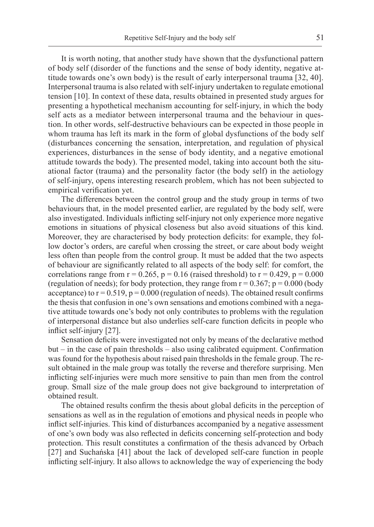It is worth noting, that another study have shown that the dysfunctional pattern of body self (disorder of the functions and the sense of body identity, negative attitude towards one's own body) is the result of early interpersonal trauma [32, 40]. Interpersonal trauma is also related with self-injury undertaken to regulate emotional tension [10]. In context of these data, results obtained in presented study argues for presenting a hypothetical mechanism accounting for self-injury, in which the body self acts as a mediator between interpersonal trauma and the behaviour in question. In other words, self-destructive behaviours can be expected in those people in whom trauma has left its mark in the form of global dysfunctions of the body self (disturbances concerning the sensation, interpretation, and regulation of physical experiences, disturbances in the sense of body identity, and a negative emotional attitude towards the body). The presented model, taking into account both the situational factor (trauma) and the personality factor (the body self) in the aetiology of self-injury, opens interesting research problem, which has not been subjected to empirical verification yet.

The differences between the control group and the study group in terms of two behaviours that, in the model presented earlier, are regulated by the body self, were also investigated. Individuals inflicting self-injury not only experience more negative emotions in situations of physical closeness but also avoid situations of this kind. Moreover, they are characterised by body protection deficits: for example, they follow doctor's orders, are careful when crossing the street, or care about body weight less often than people from the control group. It must be added that the two aspects of behaviour are significantly related to all aspects of the body self: for comfort, the correlations range from  $r = 0.265$ ,  $p = 0.16$  (raised threshold) to  $r = 0.429$ ,  $p = 0.000$ (regulation of needs); for body protection, they range from  $r = 0.367$ ;  $p = 0.000$  (body acceptance) to  $r = 0.519$ ,  $p = 0.000$  (regulation of needs). The obtained result confirms the thesis that confusion in one's own sensations and emotions combined with a negative attitude towards one's body not only contributes to problems with the regulation of interpersonal distance but also underlies self-care function deficits in people who inflict self-injury [27].

Sensation deficits were investigated not only by means of the declarative method but – in the case of pain thresholds – also using calibrated equipment. Confirmation was found for the hypothesis about raised pain thresholds in the female group. The result obtained in the male group was totally the reverse and therefore surprising. Men inflicting self-injuries were much more sensitive to pain than men from the control group. Small size of the male group does not give background to interpretation of obtained result.

The obtained results confirm the thesis about global deficits in the perception of sensations as well as in the regulation of emotions and physical needs in people who inflict self-injuries. This kind of disturbances accompanied by a negative assessment of one's own body was also reflected in deficits concerning self-protection and body protection. This result constitutes a confirmation of the thesis advanced by Orbach [27] and Suchańska [41] about the lack of developed self-care function in people inflicting self-injury. It also allows to acknowledge the way of experiencing the body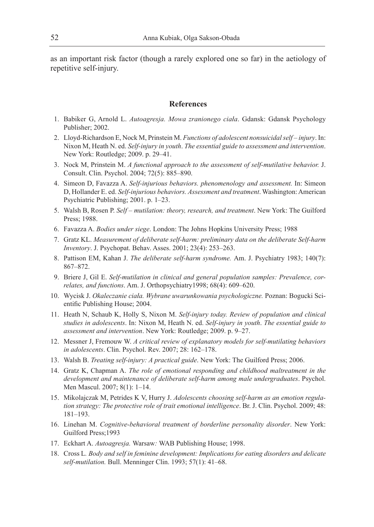as an important risk factor (though a rarely explored one so far) in the aetiology of repetitive self-injury.

# **References**

- 1. Babiker G, Arnold L. *Autoagresja. Mowa zranionego ciała*. Gdansk: Gdansk Psychology Publisher; 2002.
- 2. Lloyd-Richardson E, Nock M, Prinstein M. *Functions of adolescent nonsuicidal self injury*. In: Nixon M, Heath N. ed. *Self-injury in youth*. *The essential guide to assessment and intervention*. New York: Routledge; 2009. p. 29–41.
- 3. Nock M, Prinstein M. *A functional approach to the assessment of self-mutilative behavior.* J. Consult. Clin. Psychol. 2004; 72(5): 885–890.
- 4. Simeon D, Favazza A. *Self-injurious behaviors. phenomenology and assessment.* In: Simeon D, Hollander E. ed. *Self-injurious behaviors. Assessment and treatment*. Washington: American Psychiatric Publishing; 2001. p. 1–23.
- 5. Walsh B, Rosen P. *Self mutilation: theory, research, and treatment*. New York: The Guilford Press; 1988.
- 6. Favazza A. *Bodies under siege*. London: The Johns Hopkins University Press; 1988
- 7. Gratz KL. *Measurement of deliberate self-harm: preliminary data on the deliberate Self-harm Inventory*. J. Psychopat. Behav. Asses. 2001; 23(4): 253–263.
- 8. Pattison EM, Kahan J. *The deliberate self-harm syndrome.* Am. J. Psychiatry 1983; 140(7): 867–872.
- 9. Briere J, Gil E. *Self-mutilation in clinical and general population samples: Prevalence, correlates, and functions*. Am. J. Orthopsychiatry1998; 68(4): 609–620.
- 10. Wycisk J. *Okaleczanie ciała. Wybrane uwarunkowania psychologiczne.* Poznan: Bogucki Scientific Publishing House; 2004.
- 11. Heath N, Schaub K, Holly S, Nixon M. *Self-injury today. Review of population and clinical studies in adolescents*. In: Nixon M, Heath N. ed. *Self-injury in youth*. *The essential guide to assessment and intervention*. New York: Routledge; 2009. p. 9–27.
- 12. Messner J, Fremouw W. *A critical review of explanatory models for self-mutilating behaviors in adolescents*. Clin. Psychol. Rev. 2007; 28: 162–178.
- 13. Walsh B. *Treating self-injury: A practical guide*. New York: The Guilford Press; 2006.
- 14. Gratz K, Chapman A. *The role of emotional responding and childhood maltreatment in the development and maintenance of deliberate self-harm among male undergraduates*. Psychol. Men Mascul. 2007; 8(1): 1–14.
- 15. Mikolajczak M, Petrides K V, Hurry J. *Adolescents choosing self-harm as an emotion regulation strategy: The protective role of trait emotional intelligence*. Br. J. Clin. Psychol. 2009; 48: 181–193.
- 16. Linehan M. *Cognitive-behavioral treatment of borderline personality disorder*. New York: Guilford Press;1993
- 17. Eckhart A. *Autoagresja.* Warsaw*:* WAB Publishing House; 1998.
- 18. Cross L*. Body and self in feminine development: Implications for eating disorders and delicate self-mutilation.* Bull. Menninger Clin. 1993; 57(1): 41–68.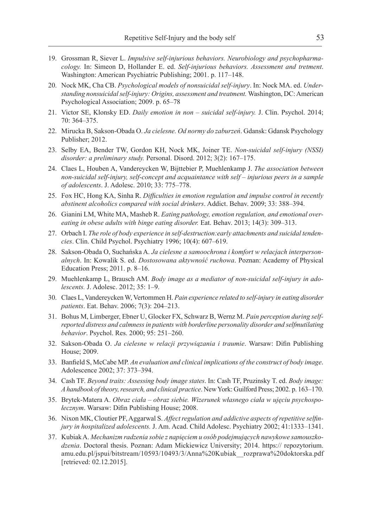- 19. Grossman R, Siever L. *Impulsive self-injurious behaviors. Neurobiology and psychopharmacology.* In: Simeon D, Hollander E. ed. *Self-injurious behaviors. Assessment and tretment*. Washington: American Psychiatric Publishing; 2001. p. 117–148.
- 20. Nock MK, Cha CB. *Psychological models of nonsuicidal self-injury*. In: Nock MA. ed. *Understanding nonsuicidal self-injury: Origins, assessment and treatment.* Washington, DC: American Psychological Association; 2009. p. 65–78
- 21. Victor SE, Klonsky ED. *Daily emotion in non suicidal self-injury.* J. Clin. Psychol. 2014; 70: 364–375.
- 22. Mirucka B, Sakson-Obada O. *Ja cielesne. Od normy do zaburzeń*. Gdansk: Gdansk Psychology Publisher; 2012.
- 23. Selby EA, Bender TW, Gordon KH, Nock MK, Joiner TE. *Non-suicidal self-injury (NSSI) disorder: a preliminary study.* Personal. Disord. 2012; 3(2): 167–175.
- 24. Claes L, Houben A, Vandereycken W, Bijttebier P, Muehlenkamp J. *The association between non-suicidal self-injury, self-concept and acquaintance with self – injurious peers in a sample of adolescents*. J. Adolesc. 2010; 33: 775–778.
- 25. Fox HC, Hong KA, Sinha R. *Difficulties in emotion regulation and impulse control in recently abstinent alcoholics compared with social drinkers*. Addict. Behav. 2009; 33: 388–394.
- 26. Gianini LM, White MA, Masheb R. *Eating pathology, emotion regulation, and emotional overeating in obese adults with binge eating disorder.* Eat. Behav. 2013; 14(3): 309–313.
- 27. Orbach I. *The role of body experience in self-destruction:early attachments and suicidal tendencies*. Clin. Child Psychol. Psychiatry 1996; 10(4): 607–619.
- 28. Sakson-Obada O, Suchańska A. *Ja cielesne a samoochrona i komfort w relacjach interpersonalnych*. In: Kowalik S. ed. *Dostosowana aktywność ruchowa*. Poznan: Academy of Physical Education Press; 2011. p. 8–16.
- 29. Muehlenkamp L, Brausch AM. *Body image as a mediator of non-suicidal self-injury in adolescents.* J. Adolesc. 2012; 35: 1–9.
- 30. Claes L, Vandereycken W, Vertommen H. *Pain experience related to self-injury in eating disorder patients*. Eat. Behav. 2006; 7(3): 204–213.
- 31. Bohus M, Limberger, Ebner U, Glocker FX, Schwarz B, Wernz M. *Pain perception during selfreported distress and calmness in patients with borderline personality disorder and selfmutilating behavior*. Psychol. Res. 2000; 95: 251–260.
- 32. Sakson-Obada O. *Ja cielesne w relacji przywiązania i traumie*. Warsaw: Difin Publishing House; 2009.
- 33. Banfield S, McCabe MP. *An evaluation and clinical implications of the construct of body image*. Adolescence 2002; 37: 373–394.
- 34. Cash TF. *Beyond traits: Assessing body image states*. In: Cash TF, Pruzinsky T. ed. *Body image: Ahandbook of theory, research, and clinical practice*. New York: Guilford Press; 2002. p. 163–170.
- 35. Brytek-Matera A. *Obraz ciała obraz siebie. Wizerunek własnego ciała w ujęciu psychospołecznym*. Warsaw: Difin Publishing House; 2008.
- 36. Nixon MK, Cloutier PF, Aggarwal S. *Affect regulation and addictive aspects of repetitive selfinjury in hospitalized adolescents.* J. Am. Acad. Child Adolesc. Psychiatry 2002; 41:1333–1341.
- 37. Kubiak A. *Mechanizm radzenia sobie z napięciem u osób podejmujących nawykowe samouszkodzenia*. Doctoral thesis. Poznan: Adam Mickiewicz University; 2014. https:// repozytorium. amu.edu.pl/jspui/bitstream/10593/10493/3/Anna%20Kubiak\_\_rozprawa%20doktorska.pdf [retrieved: 02.12.2015].